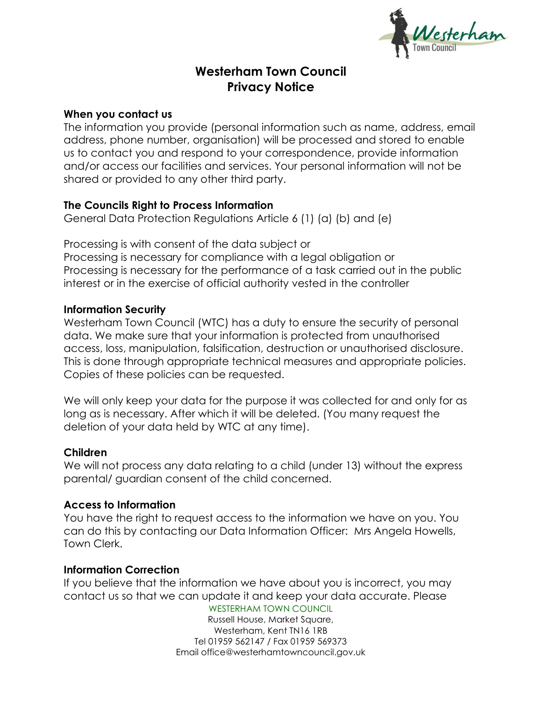**Vesterham** 

# **Westerham Town Council Privacy Notice**

#### **When you contact us**

The information you provide (personal information such as name, address, email address, phone number, organisation) will be processed and stored to enable us to contact you and respond to your correspondence, provide information and/or access our facilities and services. Your personal information will not be shared or provided to any other third party.

## **The Councils Right to Process Information**

General Data Protection Regulations Article 6 (1) (a) (b) and (e)

Processing is with consent of the data subject or Processing is necessary for compliance with a legal obligation or Processing is necessary for the performance of a task carried out in the public interest or in the exercise of official authority vested in the controller

### **Information Security**

Westerham Town Council (WTC) has a duty to ensure the security of personal data. We make sure that your information is protected from unauthorised access, loss, manipulation, falsification, destruction or unauthorised disclosure. This is done through appropriate technical measures and appropriate policies. Copies of these policies can be requested.

We will only keep your data for the purpose it was collected for and only for as long as is necessary. After which it will be deleted. (You many request the deletion of your data held by WTC at any time).

#### **Children**

We will not process any data relating to a child (under 13) without the express parental/ guardian consent of the child concerned.

## **Access to Information**

You have the right to request access to the information we have on you. You can do this by contacting our Data Information Officer: Mrs Angela Howells, Town Clerk.

## **Information Correction**

If you believe that the information we have about you is incorrect, you may contact us so that we can update it and keep your data accurate. Please

WESTERHAM TOWN COUNCIL Russell House, Market Square, Westerham, Kent TN16 1RB Tel 01959 562147 / Fax 01959 569373 Email office@westerhamtowncouncil.gov.uk